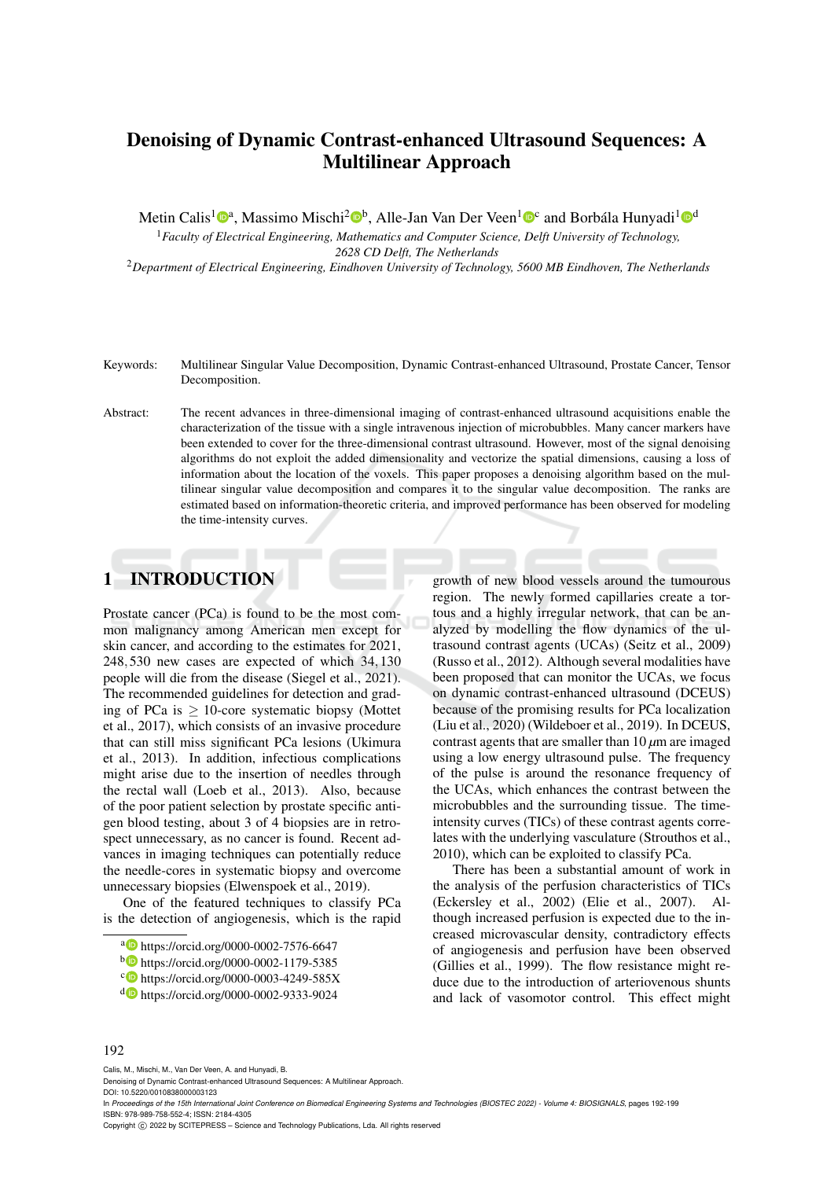# Denoising of Dynamic Contrast-enhanced Ultrasound Sequences: A Multilinear Approach

Metin Calis<sup>1</sup><sup>®a</sup>, Massimo Mischi<sup>2</sup>®<sup>b</sup>, Alle-Jan Van Der Veen<sup>1</sup>®<sup>c</sup> and Borbála Hunyadi<sup>1</sup>®<sup>d</sup>

<sup>1</sup>*Faculty of Electrical Engineering, Mathematics and Computer Science, Delft University of Technology, 2628 CD Delft, The Netherlands*

<sup>2</sup>*Department of Electrical Engineering, Eindhoven University of Technology, 5600 MB Eindhoven, The Netherlands*

- Keywords: Multilinear Singular Value Decomposition, Dynamic Contrast-enhanced Ultrasound, Prostate Cancer, Tensor Decomposition.
- Abstract: The recent advances in three-dimensional imaging of contrast-enhanced ultrasound acquisitions enable the characterization of the tissue with a single intravenous injection of microbubbles. Many cancer markers have been extended to cover for the three-dimensional contrast ultrasound. However, most of the signal denoising algorithms do not exploit the added dimensionality and vectorize the spatial dimensions, causing a loss of information about the location of the voxels. This paper proposes a denoising algorithm based on the multilinear singular value decomposition and compares it to the singular value decomposition. The ranks are estimated based on information-theoretic criteria, and improved performance has been observed for modeling the time-intensity curves.

# 1 INTRODUCTION

Prostate cancer (PCa) is found to be the most common malignancy among American men except for skin cancer, and according to the estimates for 2021, 248,530 new cases are expected of which 34,130 people will die from the disease (Siegel et al., 2021). The recommended guidelines for detection and grading of PCa is  $\geq$  10-core systematic biopsy (Mottet et al., 2017), which consists of an invasive procedure that can still miss significant PCa lesions (Ukimura et al., 2013). In addition, infectious complications might arise due to the insertion of needles through the rectal wall (Loeb et al., 2013). Also, because of the poor patient selection by prostate specific antigen blood testing, about 3 of 4 biopsies are in retrospect unnecessary, as no cancer is found. Recent advances in imaging techniques can potentially reduce the needle-cores in systematic biopsy and overcome unnecessary biopsies (Elwenspoek et al., 2019).

One of the featured techniques to classify PCa is the detection of angiogenesis, which is the rapid

growth of new blood vessels around the tumourous region. The newly formed capillaries create a tortous and a highly irregular network, that can be analyzed by modelling the flow dynamics of the ultrasound contrast agents (UCAs) (Seitz et al., 2009) (Russo et al., 2012). Although several modalities have been proposed that can monitor the UCAs, we focus on dynamic contrast-enhanced ultrasound (DCEUS) because of the promising results for PCa localization (Liu et al., 2020) (Wildeboer et al., 2019). In DCEUS, contrast agents that are smaller than 10 *µ*m are imaged using a low energy ultrasound pulse. The frequency of the pulse is around the resonance frequency of the UCAs, which enhances the contrast between the microbubbles and the surrounding tissue. The timeintensity curves (TICs) of these contrast agents correlates with the underlying vasculature (Strouthos et al., 2010), which can be exploited to classify PCa.

There has been a substantial amount of work in the analysis of the perfusion characteristics of TICs (Eckersley et al., 2002) (Elie et al., 2007). Although increased perfusion is expected due to the increased microvascular density, contradictory effects of angiogenesis and perfusion have been observed (Gillies et al., 1999). The flow resistance might reduce due to the introduction of arteriovenous shunts and lack of vasomotor control. This effect might

### 192

Calis, M., Mischi, M., Van Der Veen, A. and Hunyadi, B.

Denoising of Dynamic Contrast-enhanced Ultrasound Sequences: A Multilinear Approach. DOI: 10.5220/0010838000003123

In *Proceedings of the 15th International Joint Conference on Biomedical Engineering Systems and Technologies (BIOSTEC 2022) - Volume 4: BIOSIGNALS*, pages 192-199 ISBN: 978-989-758-552-4; ISSN: 2184-4305

Copyright (C) 2022 by SCITEPRESS - Science and Technology Publications, Lda. All rights reserved

a https://orcid.org/0000-0002-7576-6647

<sup>b</sup> https://orcid.org/0000-0002-1179-5385

<sup>c</sup> https://orcid.org/0000-0003-4249-585X

<sup>d</sup> https://orcid.org/0000-0002-9333-9024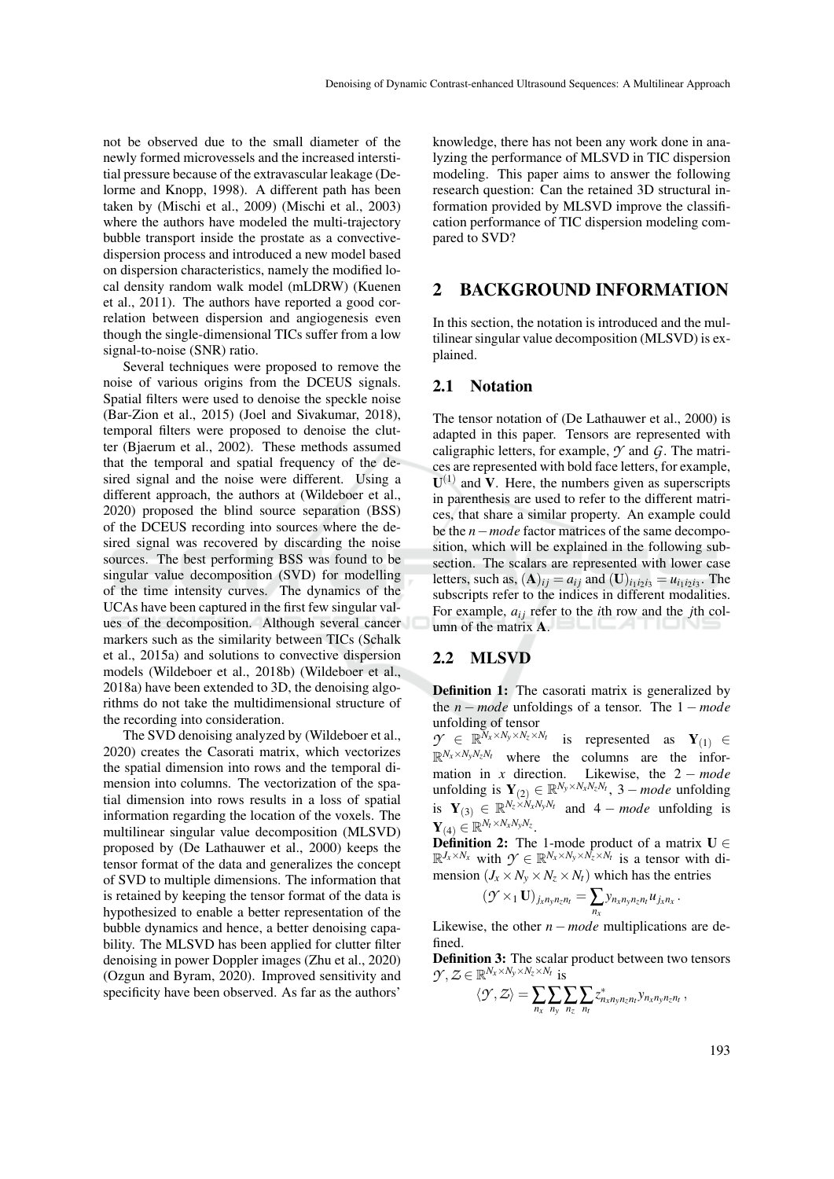not be observed due to the small diameter of the newly formed microvessels and the increased interstitial pressure because of the extravascular leakage (Delorme and Knopp, 1998). A different path has been taken by (Mischi et al., 2009) (Mischi et al., 2003) where the authors have modeled the multi-trajectory bubble transport inside the prostate as a convectivedispersion process and introduced a new model based on dispersion characteristics, namely the modified local density random walk model (mLDRW) (Kuenen et al., 2011). The authors have reported a good correlation between dispersion and angiogenesis even though the single-dimensional TICs suffer from a low signal-to-noise (SNR) ratio.

Several techniques were proposed to remove the noise of various origins from the DCEUS signals. Spatial filters were used to denoise the speckle noise (Bar-Zion et al., 2015) (Joel and Sivakumar, 2018), temporal filters were proposed to denoise the clutter (Bjaerum et al., 2002). These methods assumed that the temporal and spatial frequency of the desired signal and the noise were different. Using a different approach, the authors at (Wildeboer et al., 2020) proposed the blind source separation (BSS) of the DCEUS recording into sources where the desired signal was recovered by discarding the noise sources. The best performing BSS was found to be singular value decomposition (SVD) for modelling of the time intensity curves. The dynamics of the UCAs have been captured in the first few singular values of the decomposition. Although several cancer markers such as the similarity between TICs (Schalk et al., 2015a) and solutions to convective dispersion models (Wildeboer et al., 2018b) (Wildeboer et al., 2018a) have been extended to 3D, the denoising algorithms do not take the multidimensional structure of the recording into consideration.

The SVD denoising analyzed by (Wildeboer et al., 2020) creates the Casorati matrix, which vectorizes the spatial dimension into rows and the temporal dimension into columns. The vectorization of the spatial dimension into rows results in a loss of spatial information regarding the location of the voxels. The multilinear singular value decomposition (MLSVD) proposed by (De Lathauwer et al., 2000) keeps the tensor format of the data and generalizes the concept of SVD to multiple dimensions. The information that is retained by keeping the tensor format of the data is hypothesized to enable a better representation of the bubble dynamics and hence, a better denoising capability. The MLSVD has been applied for clutter filter denoising in power Doppler images (Zhu et al., 2020) (Ozgun and Byram, 2020). Improved sensitivity and specificity have been observed. As far as the authors'

knowledge, there has not been any work done in analyzing the performance of MLSVD in TIC dispersion modeling. This paper aims to answer the following research question: Can the retained 3D structural information provided by MLSVD improve the classification performance of TIC dispersion modeling compared to SVD?

# 2 BACKGROUND INFORMATION

In this section, the notation is introduced and the multilinear singular value decomposition (MLSVD) is explained.

### 2.1 Notation

The tensor notation of (De Lathauwer et al., 2000) is adapted in this paper. Tensors are represented with caligraphic letters, for example, *Y* and *G*. The matrices are represented with bold face letters, for example,  $U^{(1)}$  and V. Here, the numbers given as superscripts in parenthesis are used to refer to the different matrices, that share a similar property. An example could be the *n*−*mode* factor matrices of the same decomposition, which will be explained in the following subsection. The scalars are represented with lower case letters, such as,  $(A)_{ij} = a_{ij}$  and  $(U)_{i_1 i_2 i_3} = u_{i_1 i_2 i_3}$ . The subscripts refer to the indices in different modalities. For example,  $a_{ij}$  refer to the *i*th row and the *j*th column of the matrix A.

### 2.2 MLSVD

Definition 1: The casorati matrix is generalized by the *n* − *mode* unfoldings of a tensor. The 1 − *mode* unfolding of tensor

 $\mathcal{Y} \in \mathbb{R}^{\bar{N}_x \times N_y \times N_z \times N_t}$  is represented as  $\mathbf{Y}_{(1)} \in$  $\mathbb{R}^{N_x \times N_y N_z N_t}$  where the columns are the information in *x* direction. Likewise, the  $2 - mode$ unfolding is  $Y_{(2)} \in \mathbb{R}^{N_y \times N_x N_z N_t}$ , 3 – *mode* unfolding is  $\mathbf{Y}_{(3)} \in \mathbb{R}^{N_z \times N_x N_y N_t}$  and  $4 - mode$  unfolding is  $\mathbf{Y}_{(4)} \in \mathbb{R}^{N_t \times N_x N_y N_z}.$ 

**Definition 2:** The 1-mode product of a matrix  $U \in$  $\mathbb{R}^{J_x \times N_x}$  with  $\mathcal{Y} \in \mathbb{R}^{N_x \times N_y \times N_z \times N_t}$  is a tensor with dimension ( $J_x \times N_y \times N_z \times N_t$ ) which has the entries

$$
(\mathcal{Y} \times_1 \mathbf{U})_{j_x n_y n_z n_t} = \sum_{n_x} y_{n_x n_y n_z n_t} u_{j_x n_x}.
$$

Likewise, the other  $n$  − *mode* multiplications are defined.

Definition 3: The scalar product between two tensors  $\mathcal{Y}, \mathcal{Z} \in \mathbb{R}^{N_x \times N_y \times N_z \times N_t}$  is

$$
\langle \mathcal{Y}, \mathcal{Z} \rangle = \sum_{n_x} \sum_{n_y} \sum_{n_z} \sum_{n_t} z^*_{n_x n_y n_z n_t} y_{n_x n_y n_z n_t},
$$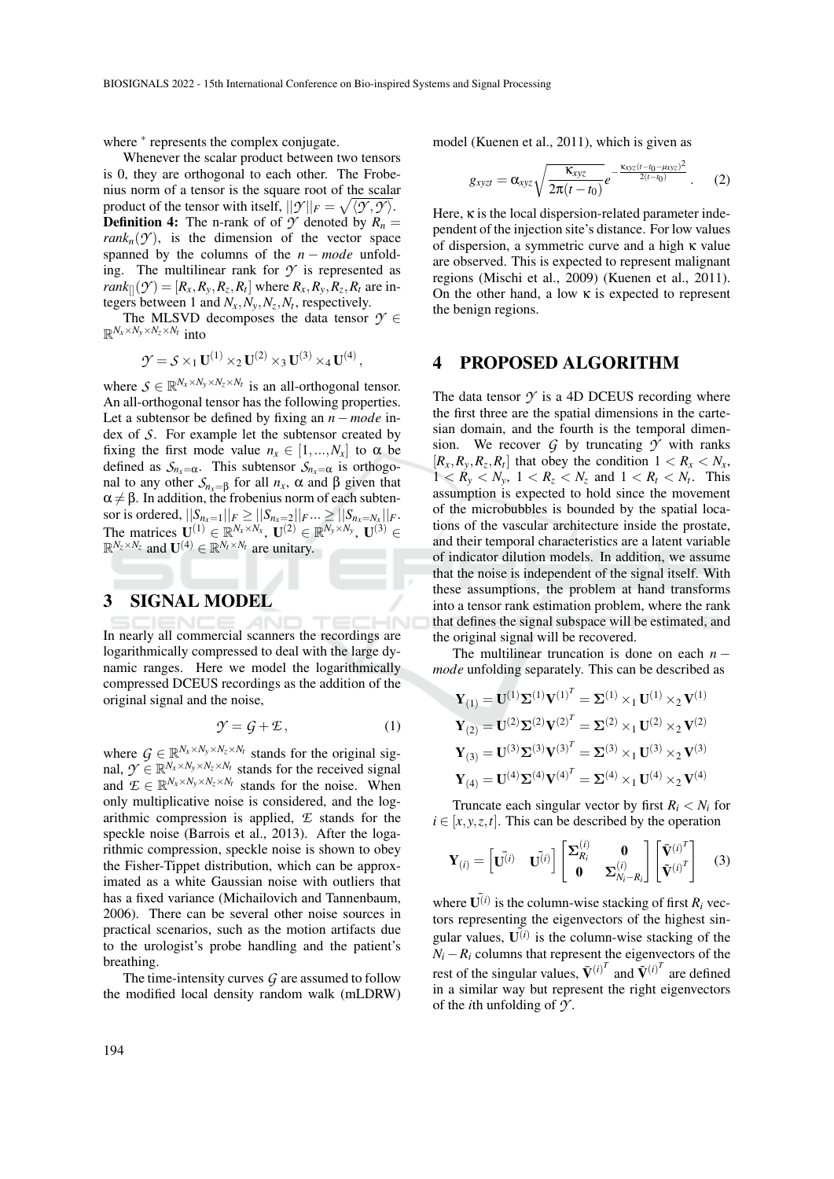where  $*$  represents the complex conjugate.

Whenever the scalar product between two tensors is 0, they are orthogonal to each other. The Frobenius norm of a tensor is the square root of the scalar product of the tensor with itself,  $||\mathcal{Y}||_F = \sqrt{\langle \mathcal{Y}, \mathcal{Y} \rangle}$ . **Definition 4:** The n-rank of of  $\mathcal{Y}$  denoted by  $R_n =$  $rank_n(\mathcal{Y})$ , is the dimension of the vector space spanned by the columns of the  $n$  − mode unfolding. The multilinear rank for  $\gamma$  is represented as  $rank_{\parallel}(y') = [R_x, R_y, R_z, R_t]$  where  $R_x, R_y, R_z, R_t$  are integers between 1 and  $N_x, N_y, N_z, N_t$ , respectively.

The MLSVD decomposes the data tensor  $\mathcal{Y} \in$  $\mathbb{R}^{N_x \times N_y \times N_z \times N_t}$  into

$$
\mathcal{Y} = \mathcal{S} \times_1 \mathbf{U}^{(1)} \times_2 \mathbf{U}^{(2)} \times_3 \mathbf{U}^{(3)} \times_4 \mathbf{U}^{(4)},
$$

where  $S \in \mathbb{R}^{N_x \times N_y \times N_z \times N_t}$  is an all-orthogonal tensor. An all-orthogonal tensor has the following properties. Let a subtensor be defined by fixing an *n*−*mode* index of *S*. For example let the subtensor created by fixing the first mode value  $n_x \in [1,...,N_x]$  to  $\alpha$  be defined as  $S_{n_x=\alpha}$ . This subtensor  $S_{n_x=\alpha}$  is orthogonal to any other  $S_{n_x=β}$  for all  $n_x$ , α and β given that  $\alpha \neq \beta$ . In addition, the frobenius norm of each subtensor is ordered,  $||S_{n_x=1}||_F \ge ||S_{n_x=2}||_F ... \ge ||S_{n_x=N_x}||_F$ . The matrices  $\mathbf{U}^{(1)} \in \mathbb{R}^{N_x \times N_x}$ ,  $\mathbf{U}^{(2)} \in \mathbb{R}^{N_y \times N_y}$ ,  $\mathbf{U}^{(3)} \in$  $\mathbb{R}^{N_z \times N_z}$  and  $\mathbf{U}^{(4)} \in \mathbb{R}^{N_t \times N_t}$  are unitary.

### 3 SIGNAL MODEL

In nearly all commercial scanners the recordings are logarithmically compressed to deal with the large dynamic ranges. Here we model the logarithmically compressed DCEUS recordings as the addition of the original signal and the noise,

$$
\mathcal{Y} = \mathcal{G} + \mathcal{E},\tag{1}
$$

where  $G \in \mathbb{R}^{N_x \times N_y \times N_z \times N_t}$  stands for the original signal,  $\mathcal{Y} \in \mathbb{R}^{N_x \times N_y \times N_z \times N_t}$  stands for the received signal and  $\mathcal{L} \in \mathbb{R}^{N_x \times N_y \times N_z \times N_t}$  stands for the noise. When only multiplicative noise is considered, and the logarithmic compression is applied, *E* stands for the speckle noise (Barrois et al., 2013). After the logarithmic compression, speckle noise is shown to obey the Fisher-Tippet distribution, which can be approximated as a white Gaussian noise with outliers that has a fixed variance (Michailovich and Tannenbaum, 2006). There can be several other noise sources in practical scenarios, such as the motion artifacts due to the urologist's probe handling and the patient's breathing.

The time-intensity curves *G* are assumed to follow the modified local density random walk (mLDRW) model (Kuenen et al., 2011), which is given as

$$
g_{xyz} = \alpha_{xyz} \sqrt{\frac{\kappa_{xyz}}{2\pi(t-t_0)}} e^{-\frac{\kappa_{xyz}(t-t_0 - \mu_{xyz})^2}{2(t-t_0)}}.
$$
 (2)

Here,  $\kappa$  is the local dispersion-related parameter independent of the injection site's distance. For low values of dispersion, a symmetric curve and a high κ value are observed. This is expected to represent malignant regions (Mischi et al., 2009) (Kuenen et al., 2011). On the other hand, a low  $\kappa$  is expected to represent the benign regions.

### 4 PROPOSED ALGORITHM

The data tensor  $\gamma$  is a 4D DCEUS recording where the first three are the spatial dimensions in the cartesian domain, and the fourth is the temporal dimension. We recover  $G$  by truncating  $\gamma$  with ranks  $[R_x, R_y, R_z, R_t]$  that obey the condition  $1 < R_x < N_x$ ,  $1 < R_y < N_y$ ,  $1 < R_z < N_z$  and  $1 < R_t < N_t$ . This assumption is expected to hold since the movement of the microbubbles is bounded by the spatial locations of the vascular architecture inside the prostate, and their temporal characteristics are a latent variable of indicator dilution models. In addition, we assume that the noise is independent of the signal itself. With these assumptions, the problem at hand transforms into a tensor rank estimation problem, where the rank that defines the signal subspace will be estimated, and the original signal will be recovered.

The multilinear truncation is done on each *n* − *mode* unfolding separately. This can be described as

$$
\mathbf{Y}_{(1)} = \mathbf{U}^{(1)} \mathbf{\Sigma}^{(1)} \mathbf{V}^{(1)^{T}} = \mathbf{\Sigma}^{(1)} \times_1 \mathbf{U}^{(1)} \times_2 \mathbf{V}^{(1)}
$$
\n
$$
\mathbf{Y}_{(2)} = \mathbf{U}^{(2)} \mathbf{\Sigma}^{(2)} \mathbf{V}^{(2)^{T}} = \mathbf{\Sigma}^{(2)} \times_1 \mathbf{U}^{(2)} \times_2 \mathbf{V}^{(2)}
$$
\n
$$
\mathbf{Y}_{(3)} = \mathbf{U}^{(3)} \mathbf{\Sigma}^{(3)} \mathbf{V}^{(3)^{T}} = \mathbf{\Sigma}^{(3)} \times_1 \mathbf{U}^{(3)} \times_2 \mathbf{V}^{(3)}
$$
\n
$$
\mathbf{Y}_{(4)} = \mathbf{U}^{(4)} \mathbf{\Sigma}^{(4)} \mathbf{V}^{(4)^{T}} = \mathbf{\Sigma}^{(4)} \times_1 \mathbf{U}^{(4)} \times_2 \mathbf{V}^{(4)}
$$

Truncate each singular vector by first  $R_i < N_i$  for  $i \in [x, y, z, t]$ . This can be described by the operation

$$
\mathbf{Y}_{(i)} = \begin{bmatrix} \bar{\mathbf{U}^{(i)}} & \bar{\mathbf{U}^{(i)}} \end{bmatrix} \begin{bmatrix} \Sigma_{R_i}^{(i)} & \mathbf{0} \\ \mathbf{0} & \Sigma_{N_i-R_i}^{(i)} \end{bmatrix} \begin{bmatrix} \bar{\mathbf{V}}^{(i)^T} \\ \tilde{\mathbf{V}}^{(i)^T} \end{bmatrix} \tag{3}
$$

where  $\overline{\mathbf{U}}^{(i)}$  is the column-wise stacking of first  $R_i$  vectors representing the eigenvectors of the highest singular values,  $\tilde{U}^{(i)}$  is the column-wise stacking of the  $N_i - R_i$  columns that represent the eigenvectors of the rest of the singular values,  $\bar{\mathbf{V}}^{(i)^T}$  and  $\tilde{\mathbf{V}}^{(i)^T}$  are defined in a similar way but represent the right eigenvectors of the *i*th unfolding of *Y* .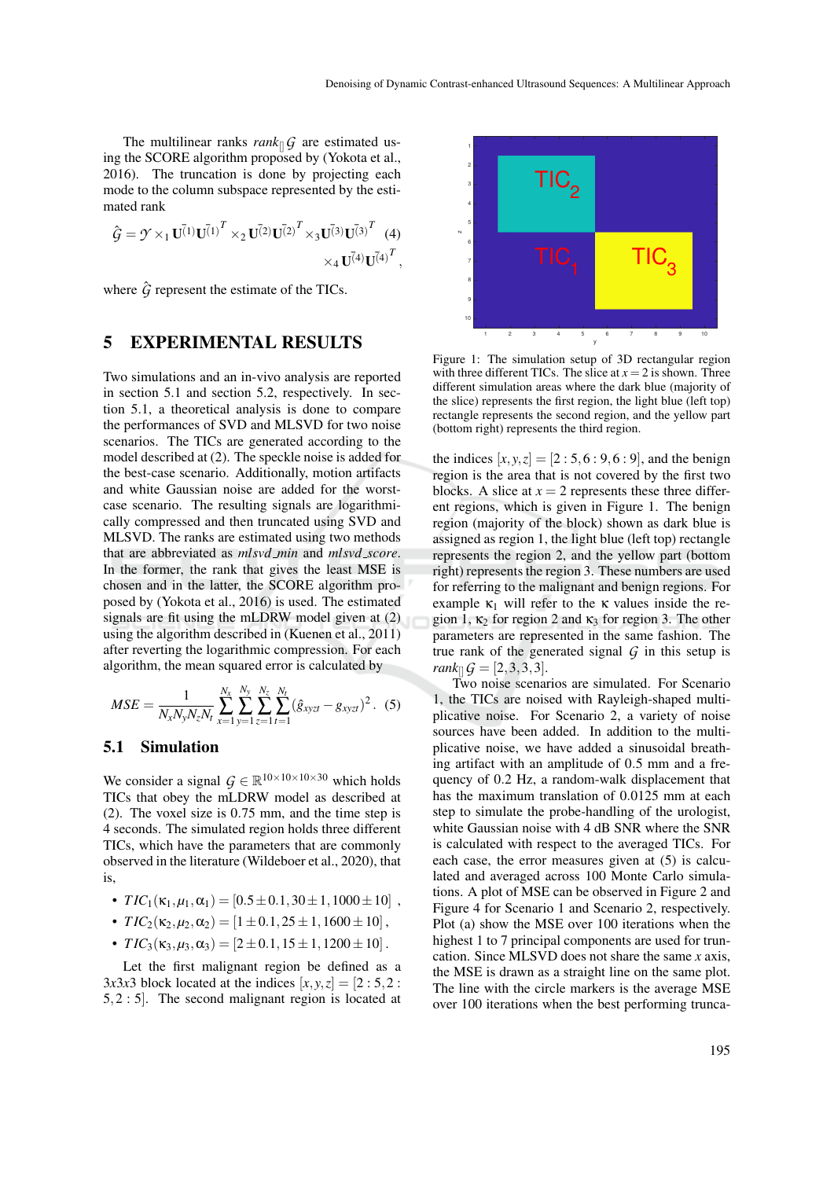The multilinear ranks *rank* $\int G$  are estimated using the SCORE algorithm proposed by (Yokota et al., 2016). The truncation is done by projecting each mode to the column subspace represented by the estimated rank

$$
\hat{G} = \mathcal{Y} \times_1 \mathbf{U}^{(1)} \mathbf{U}^{(1)}^T \times_2 \mathbf{U}^{(2)} \mathbf{U}^{(2)}^T \times_3 \mathbf{U}^{(3)} \mathbf{U}^{(3)}^T
$$
 (4)  
 
$$
\times_4 \mathbf{U}^{(4)} \mathbf{U}^{(4)}^T,
$$

where  $\hat{G}$  represent the estimate of the TICs.

### 5 EXPERIMENTAL RESULTS

Two simulations and an in-vivo analysis are reported in section 5.1 and section 5.2, respectively. In section 5.1, a theoretical analysis is done to compare the performances of SVD and MLSVD for two noise scenarios. The TICs are generated according to the model described at (2). The speckle noise is added for the best-case scenario. Additionally, motion artifacts and white Gaussian noise are added for the worstcase scenario. The resulting signals are logarithmically compressed and then truncated using SVD and MLSVD. The ranks are estimated using two methods that are abbreviated as *mlsvd min* and *mlsvd score*. In the former, the rank that gives the least MSE is chosen and in the latter, the SCORE algorithm proposed by (Yokota et al., 2016) is used. The estimated signals are fit using the mLDRW model given at (2) using the algorithm described in (Kuenen et al., 2011) after reverting the logarithmic compression. For each algorithm, the mean squared error is calculated by

$$
MSE = \frac{1}{N_x N_y N_z N_t} \sum_{x=1}^{N_x} \sum_{y=1}^{N_y} \sum_{z=1}^{N_z} \sum_{t=1}^{N_t} (\hat{g}_{xyzt} - g_{xyzt})^2
$$
. (5)

### 5.1 Simulation

We consider a signal  $G \in \mathbb{R}^{10 \times 10 \times 10 \times 30}$  which holds TICs that obey the mLDRW model as described at (2). The voxel size is 0.75 mm, and the time step is 4 seconds. The simulated region holds three different TICs, which have the parameters that are commonly observed in the literature (Wildeboer et al., 2020), that is,

- $TIC_1(\kappa_1, \mu_1, \alpha_1) = [0.5 \pm 0.1, 30 \pm 1, 1000 \pm 10]$ ,
- $TIC_2(\kappa_2,\mu_2,\alpha_2) = [1 \pm 0.1,25 \pm 1,1600 \pm 10],$
- $TIC_3(\kappa_3,\mu_3,\alpha_3) = [2 \pm 0.1, 15 \pm 1, 1200 \pm 10].$

Let the first malignant region be defined as a 3*x*3*x*3 block located at the indices  $[x, y, z] = [2 : 5, 2 :$ 5,2 : 5]. The second malignant region is located at



Figure 1: The simulation setup of 3D rectangular region with three different TICs. The slice at  $x = 2$  is shown. Three different simulation areas where the dark blue (majority of the slice) represents the first region, the light blue (left top) rectangle represents the second region, and the yellow part (bottom right) represents the third region.

the indices  $[x, y, z] = [2 : 5, 6 : 9, 6 : 9]$ , and the benign region is the area that is not covered by the first two blocks. A slice at  $x = 2$  represents these three different regions, which is given in Figure 1. The benign region (majority of the block) shown as dark blue is assigned as region 1, the light blue (left top) rectangle represents the region 2, and the yellow part (bottom right) represents the region 3. These numbers are used for referring to the malignant and benign regions. For example  $\kappa_1$  will refer to the  $\kappa$  values inside the region 1,  $\kappa_2$  for region 2 and  $\kappa_3$  for region 3. The other parameters are represented in the same fashion. The true rank of the generated signal  $G$  in this setup is *rank*<sub>[]</sub> $G = [2, 3, 3, 3].$ 

Two noise scenarios are simulated. For Scenario 1, the TICs are noised with Rayleigh-shaped multiplicative noise. For Scenario 2, a variety of noise sources have been added. In addition to the multiplicative noise, we have added a sinusoidal breathing artifact with an amplitude of 0.5 mm and a frequency of 0.2 Hz, a random-walk displacement that has the maximum translation of 0.0125 mm at each step to simulate the probe-handling of the urologist, white Gaussian noise with 4 dB SNR where the SNR is calculated with respect to the averaged TICs. For each case, the error measures given at (5) is calculated and averaged across 100 Monte Carlo simulations. A plot of MSE can be observed in Figure 2 and Figure 4 for Scenario 1 and Scenario 2, respectively. Plot (a) show the MSE over 100 iterations when the highest 1 to 7 principal components are used for truncation. Since MLSVD does not share the same *x* axis, the MSE is drawn as a straight line on the same plot. The line with the circle markers is the average MSE over 100 iterations when the best performing trunca-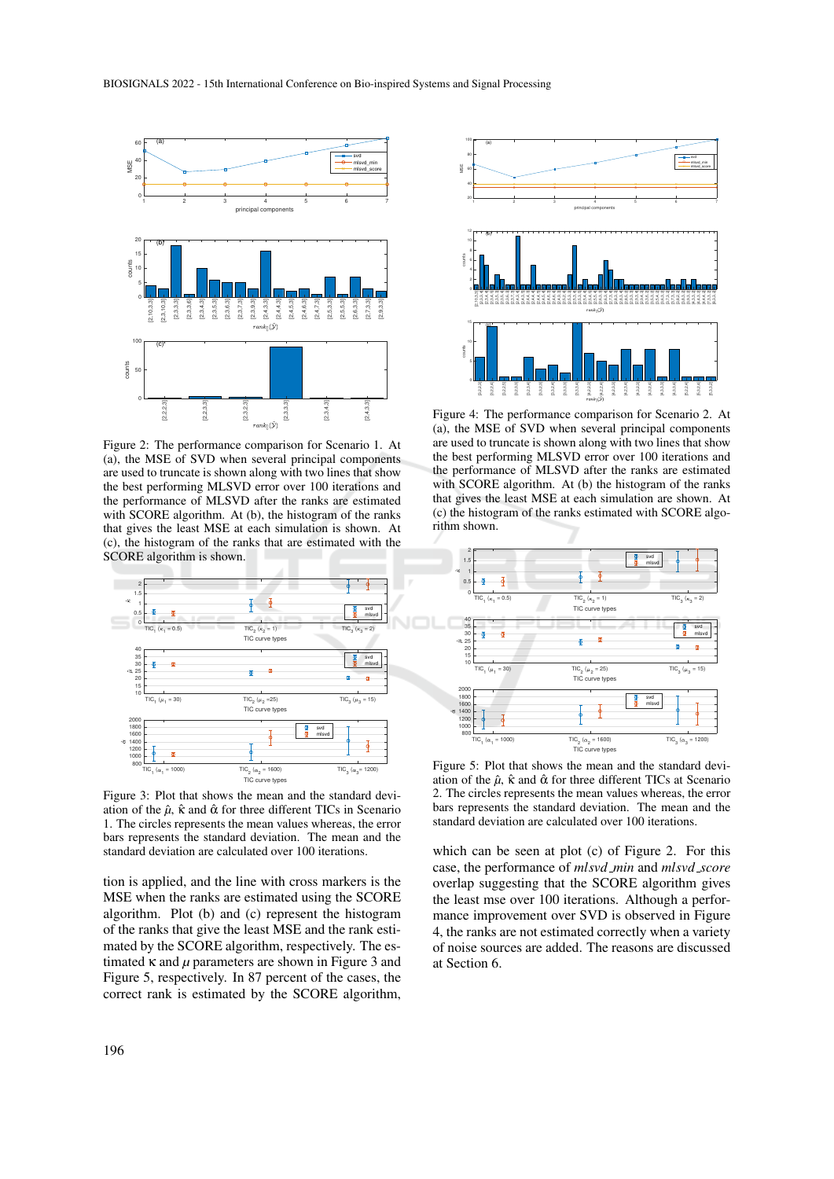

Figure 2: The performance comparison for Scenario 1. At (a), the MSE of SVD when several principal components are used to truncate is shown along with two lines that show the best performing MLSVD error over 100 iterations and the performance of MLSVD after the ranks are estimated with SCORE algorithm. At (b), the histogram of the ranks that gives the least MSE at each simulation is shown. At (c), the histogram of the ranks that are estimated with the SCORE algorithm is shown.



Figure 3: Plot that shows the mean and the standard deviation of the  $\hat{\mu}$ ,  $\hat{\kappa}$  and  $\hat{\alpha}$  for three different TICs in Scenario 1. The circles represents the mean values whereas, the error bars represents the standard deviation. The mean and the standard deviation are calculated over 100 iterations.

tion is applied, and the line with cross markers is the MSE when the ranks are estimated using the SCORE algorithm. Plot (b) and (c) represent the histogram of the ranks that give the least MSE and the rank estimated by the SCORE algorithm, respectively. The estimated  $\kappa$  and  $\mu$  parameters are shown in Figure 3 and Figure 5, respectively. In 87 percent of the cases, the correct rank is estimated by the SCORE algorithm,



Figure 4: The performance comparison for Scenario 2. At (a), the MSE of SVD when several principal components are used to truncate is shown along with two lines that show the best performing MLSVD error over 100 iterations and the performance of MLSVD after the ranks are estimated with SCORE algorithm. At (b) the histogram of the ranks that gives the least MSE at each simulation are shown. At (c) the histogram of the ranks estimated with SCORE algorithm shown.



Figure 5: Plot that shows the mean and the standard deviation of the  $\hat{\mu}$ ,  $\hat{\kappa}$  and  $\hat{\alpha}$  for three different TICs at Scenario 2. The circles represents the mean values whereas, the error bars represents the standard deviation. The mean and the standard deviation are calculated over 100 iterations.

which can be seen at plot (c) of Figure 2. For this case, the performance of *mlsvd min* and *mlsvd score* overlap suggesting that the SCORE algorithm gives the least mse over 100 iterations. Although a performance improvement over SVD is observed in Figure 4, the ranks are not estimated correctly when a variety of noise sources are added. The reasons are discussed at Section 6.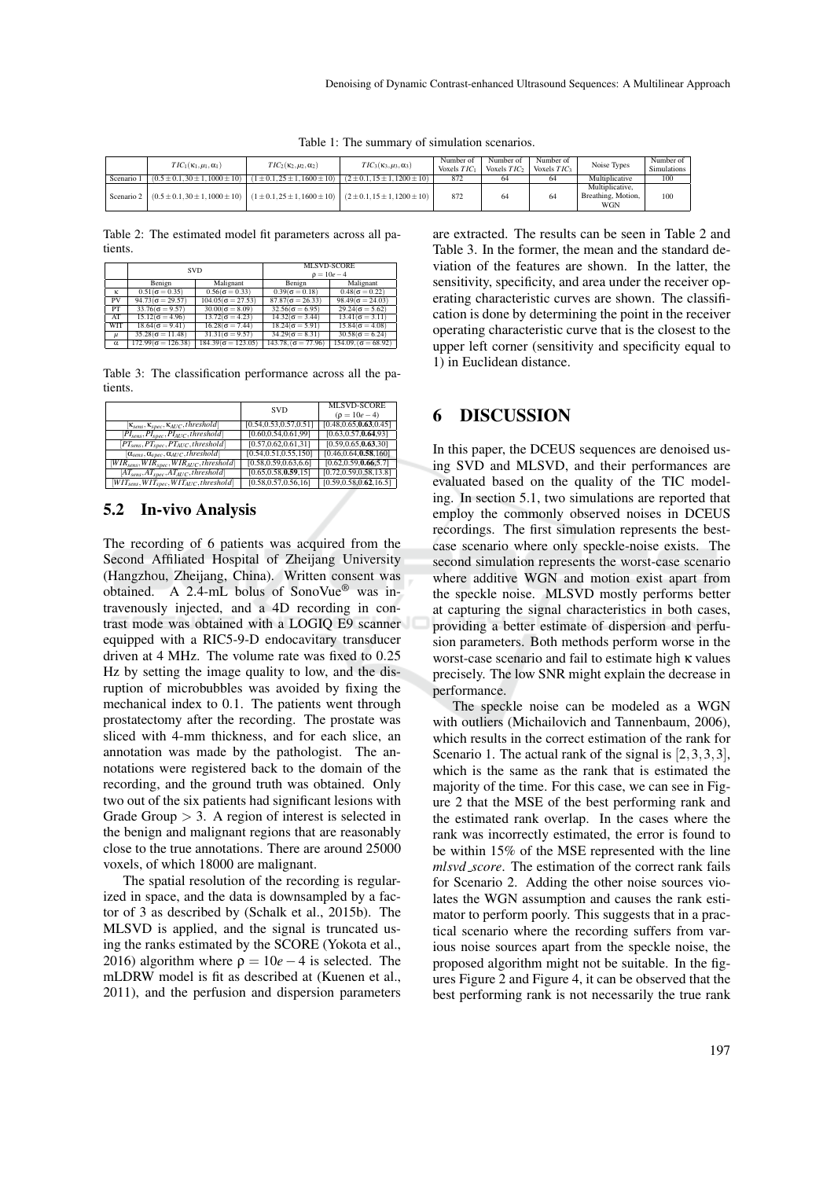|            | $TIC_1(\kappa_1,\mu_1,\alpha_1)$       | $TIC_2(\kappa_2,\mu_2,\alpha_2)$   | $TIC_3(\kappa_3,\mu_3,\alpha_3)$                                          | Number of<br>Voxels $TIC_1$ | Number of<br>Voxels $TIC_2$ | Number of<br>Voxels $TIC_3$ | Noise Types                                         | Number of<br><b>Simulations</b> |
|------------|----------------------------------------|------------------------------------|---------------------------------------------------------------------------|-----------------------------|-----------------------------|-----------------------------|-----------------------------------------------------|---------------------------------|
| Scenario 1 | $(0.5 \pm 0.1, 30 \pm 1, 1000 \pm 10)$ | $(1 \pm 0.1.25 \pm 1.1600 \pm 10)$ | $(2 \pm 0.1, 15 \pm 1, 1200 \pm 10)$                                      | 872                         | 64                          | 64                          | Multiplicative                                      | 100                             |
| Scenario 2 | $(0.5 \pm 0.130 \pm 1.1000 \pm 10)$    |                                    | $(1 \pm 0.1, 25 \pm 1, 1600 \pm 10)$ $(2 \pm 0.1, 15 \pm 1, 1200 \pm 10)$ | 872                         | 64                          | 64                          | Multiplicative,<br>Breathing, Motion.<br><b>WGN</b> | 100                             |

Table 1: The summary of simulation scenarios.

Table 2: The estimated model fit parameters across all patients.

|            | <b>SVD</b>                |                           | MLSVD-SCORE<br>$\rho = 10e - 4$ |                               |  |
|------------|---------------------------|---------------------------|---------------------------------|-------------------------------|--|
|            | Benign                    | Malignant                 | Benign                          | Malignant                     |  |
| κ          | $0.51(\sigma = 0.35)$     | $0.56(\sigma = 0.33)$     | $0.39(\sigma = 0.18)$           | $0.48(\sigma = 0.22)$         |  |
| PV         | $94.73(\sigma = 29.57)$   | $104.05(\sigma = 27.53)$  | $87.87(\sigma = 26.33)$         | $98.49(\sigma = 24.03)$       |  |
| <b>PT</b>  | $33.76(\sigma = 9.57)$    | $30.00(\sigma = 8.09)$    | $32.56(\sigma = 6.95)$          | $29.24(\sigma = 5.62)$        |  |
| AT         | $15.12(\sigma = 4.96)$    | $13.72(\sigma = 4.23)$    | $14.32(\sigma = 3.44)$          | $\sqrt{13.41(\sigma - 3.11)}$ |  |
| <b>WIT</b> | $18.64(\sigma = 9.41)$    | $16.28(\sigma = 7.44)$    | $18.24(\sigma = 5.91)$          | $15.84(\sigma = 4.08)$        |  |
| $\mu$      | $35.28(\sigma = 11.48)$   | $31.31(\sigma = 9.57)$    | $34.29(\sigma = 8.31)$          | $30.58(\sigma = 6.24)$        |  |
| α          | $172.99(\sigma = 126.38)$ | $184.39(\sigma = 123.05)$ | $143.78.(\sigma = 77.96)$       | $154.09.(\sigma = 68.92)$     |  |

Table 3: The classification performance across all the patients.

|                                                           | <b>SVD</b>              | <b>MLSVD-SCORE</b>       |
|-----------------------------------------------------------|-------------------------|--------------------------|
|                                                           |                         | $(\rho = 10e - 4)$       |
| $[\kappa_{sens}, \kappa_{spec}, \kappa_{AUC}, threshold]$ | [0.54,0.53,0.57,0.51]   | [0.48, 0.65, 0.63, 0.45] |
| $[PI_{sens}, PI_{spec}, PI_{AUC}, threshold]$             | [0.60, 0.54, 0.61, 99]  | [0.63, 0.57, 0.64, 93]   |
| $[PT_{sens}, PT_{spec}, PT_{AUC}, threshold]$             | [0.57,0.62,0.61,31]     | [0.59, 0.65, 0.63, 30]   |
| $[\alpha_{sens}, \alpha_{spec}, \alpha_{AUC}, threshold]$ | [0.54, 0.51, 0.55, 150] | [0.46, 0.64, 0.58, 160]  |
| $[WIRsens, WIRspec, WIRAUC, threshold]$                   | [0.58, 0.59, 0.63, 6.6] | [0.62, 0.59, 0.66, 5.7]  |
| $[AT_{sens}, AT_{spec}, AT_{AUC}, threshold]$             | [0.65, 0.58, 0.59, 15]  | [0.72, 0.59, 0.58, 13.8] |
| $[WIT_{sens}, WIT_{spec}, WIT_{AUC}, threshold]$          | [0.58, 0.57, 0.56, 16]  | [0.59, 0.58, 0.62, 16.5] |

### 5.2 In-vivo Analysis

The recording of 6 patients was acquired from the Second Affiliated Hospital of Zheijang University (Hangzhou, Zheijang, China). Written consent was obtained. A 2.4-mL bolus of SonoVue® was intravenously injected, and a 4D recording in contrast mode was obtained with a LOGIQ E9 scanner equipped with a RIC5-9-D endocavitary transducer driven at 4 MHz. The volume rate was fixed to 0.25 Hz by setting the image quality to low, and the disruption of microbubbles was avoided by fixing the mechanical index to 0.1. The patients went through prostatectomy after the recording. The prostate was sliced with 4-mm thickness, and for each slice, an annotation was made by the pathologist. The annotations were registered back to the domain of the recording, and the ground truth was obtained. Only two out of the six patients had significant lesions with Grade Group  $> 3$ . A region of interest is selected in the benign and malignant regions that are reasonably close to the true annotations. There are around 25000 voxels, of which 18000 are malignant.

The spatial resolution of the recording is regularized in space, and the data is downsampled by a factor of 3 as described by (Schalk et al., 2015b). The MLSVD is applied, and the signal is truncated using the ranks estimated by the SCORE (Yokota et al., 2016) algorithm where  $\rho = 10e - 4$  is selected. The mLDRW model is fit as described at (Kuenen et al., 2011), and the perfusion and dispersion parameters

are extracted. The results can be seen in Table 2 and Table 3. In the former, the mean and the standard deviation of the features are shown. In the latter, the sensitivity, specificity, and area under the receiver operating characteristic curves are shown. The classification is done by determining the point in the receiver operating characteristic curve that is the closest to the upper left corner (sensitivity and specificity equal to 1) in Euclidean distance.

### 6 DISCUSSION

In this paper, the DCEUS sequences are denoised using SVD and MLSVD, and their performances are evaluated based on the quality of the TIC modeling. In section 5.1, two simulations are reported that employ the commonly observed noises in DCEUS recordings. The first simulation represents the bestcase scenario where only speckle-noise exists. The second simulation represents the worst-case scenario where additive WGN and motion exist apart from the speckle noise. MLSVD mostly performs better at capturing the signal characteristics in both cases, providing a better estimate of dispersion and perfusion parameters. Both methods perform worse in the worst-case scenario and fail to estimate high κ values precisely. The low SNR might explain the decrease in performance.

The speckle noise can be modeled as a WGN with outliers (Michailovich and Tannenbaum, 2006), which results in the correct estimation of the rank for Scenario 1. The actual rank of the signal is  $[2,3,3,3]$ , which is the same as the rank that is estimated the majority of the time. For this case, we can see in Figure 2 that the MSE of the best performing rank and the estimated rank overlap. In the cases where the rank was incorrectly estimated, the error is found to be within 15% of the MSE represented with the line *mlsvd score*. The estimation of the correct rank fails for Scenario 2. Adding the other noise sources violates the WGN assumption and causes the rank estimator to perform poorly. This suggests that in a practical scenario where the recording suffers from various noise sources apart from the speckle noise, the proposed algorithm might not be suitable. In the figures Figure 2 and Figure 4, it can be observed that the best performing rank is not necessarily the true rank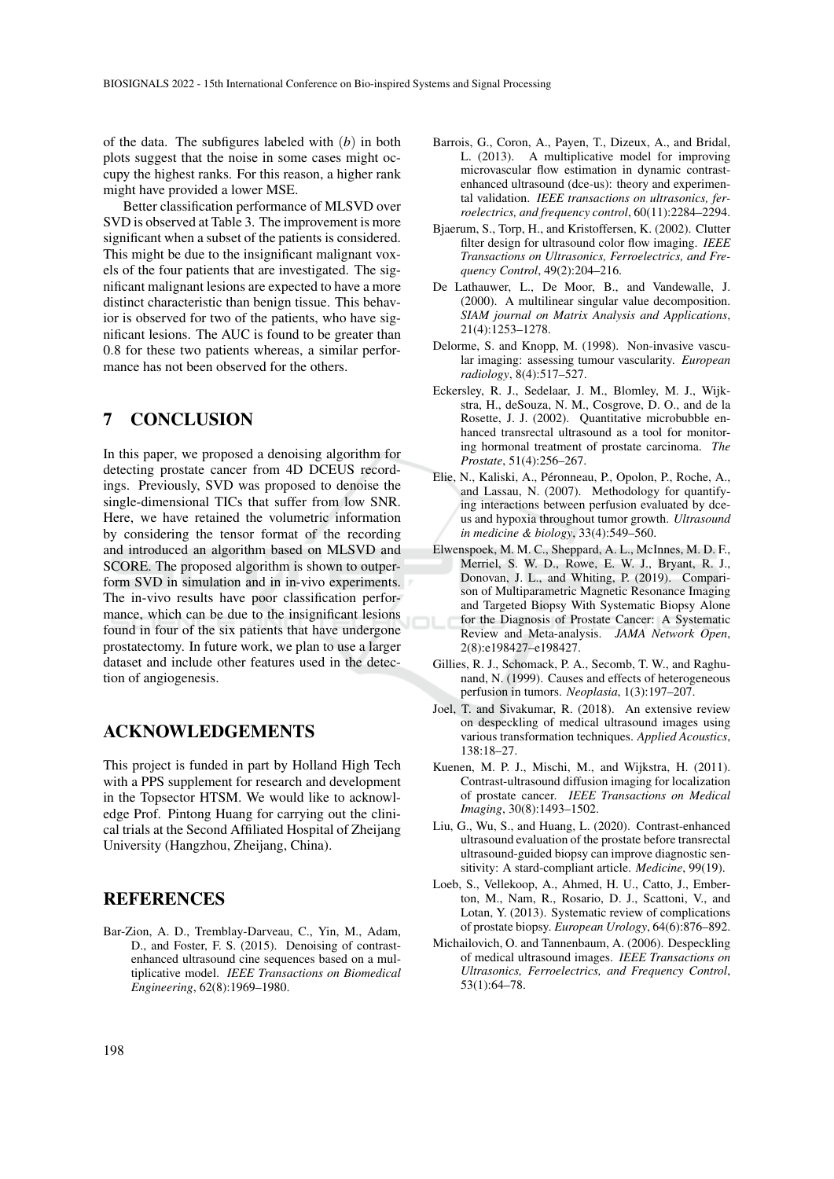of the data. The subfigures labeled with (*b*) in both plots suggest that the noise in some cases might occupy the highest ranks. For this reason, a higher rank might have provided a lower MSE.

Better classification performance of MLSVD over SVD is observed at Table 3. The improvement is more significant when a subset of the patients is considered. This might be due to the insignificant malignant voxels of the four patients that are investigated. The significant malignant lesions are expected to have a more distinct characteristic than benign tissue. This behavior is observed for two of the patients, who have significant lesions. The AUC is found to be greater than 0.8 for these two patients whereas, a similar performance has not been observed for the others.

# 7 CONCLUSION

In this paper, we proposed a denoising algorithm for detecting prostate cancer from 4D DCEUS recordings. Previously, SVD was proposed to denoise the single-dimensional TICs that suffer from low SNR. Here, we have retained the volumetric information by considering the tensor format of the recording and introduced an algorithm based on MLSVD and SCORE. The proposed algorithm is shown to outperform SVD in simulation and in in-vivo experiments. The in-vivo results have poor classification performance, which can be due to the insignificant lesions found in four of the six patients that have undergone prostatectomy. In future work, we plan to use a larger dataset and include other features used in the detection of angiogenesis.

### ACKNOWLEDGEMENTS

This project is funded in part by Holland High Tech with a PPS supplement for research and development in the Topsector HTSM. We would like to acknowledge Prof. Pintong Huang for carrying out the clinical trials at the Second Affiliated Hospital of Zheijang University (Hangzhou, Zheijang, China).

### **REFERENCES**

Bar-Zion, A. D., Tremblay-Darveau, C., Yin, M., Adam, D., and Foster, F. S. (2015). Denoising of contrastenhanced ultrasound cine sequences based on a multiplicative model. *IEEE Transactions on Biomedical Engineering*, 62(8):1969–1980.

- Barrois, G., Coron, A., Payen, T., Dizeux, A., and Bridal, L. (2013). A multiplicative model for improving microvascular flow estimation in dynamic contrastenhanced ultrasound (dce-us): theory and experimental validation. *IEEE transactions on ultrasonics, ferroelectrics, and frequency control*, 60(11):2284–2294.
- Bjaerum, S., Torp, H., and Kristoffersen, K. (2002). Clutter filter design for ultrasound color flow imaging. *IEEE Transactions on Ultrasonics, Ferroelectrics, and Frequency Control*, 49(2):204–216.
- De Lathauwer, L., De Moor, B., and Vandewalle, J. (2000). A multilinear singular value decomposition. *SIAM journal on Matrix Analysis and Applications*, 21(4):1253–1278.
- Delorme, S. and Knopp, M. (1998). Non-invasive vascular imaging: assessing tumour vascularity. *European radiology*, 8(4):517–527.
- Eckersley, R. J., Sedelaar, J. M., Blomley, M. J., Wijkstra, H., deSouza, N. M., Cosgrove, D. O., and de la Rosette, J. J. (2002). Quantitative microbubble enhanced transrectal ultrasound as a tool for monitoring hormonal treatment of prostate carcinoma. *The Prostate*, 51(4):256–267.
- Elie, N., Kaliski, A., Peronneau, P., Opolon, P., Roche, A., ´ and Lassau, N. (2007). Methodology for quantifying interactions between perfusion evaluated by dceus and hypoxia throughout tumor growth. *Ultrasound in medicine & biology*, 33(4):549–560.
- Elwenspoek, M. M. C., Sheppard, A. L., McInnes, M. D. F., Merriel, S. W. D., Rowe, E. W. J., Bryant, R. J., Donovan, J. L., and Whiting, P. (2019). Comparison of Multiparametric Magnetic Resonance Imaging and Targeted Biopsy With Systematic Biopsy Alone for the Diagnosis of Prostate Cancer: A Systematic Review and Meta-analysis. *JAMA Network Open*, 2(8):e198427–e198427.
- Gillies, R. J., Schomack, P. A., Secomb, T. W., and Raghunand, N. (1999). Causes and effects of heterogeneous perfusion in tumors. *Neoplasia*, 1(3):197–207.
- Joel, T. and Sivakumar, R. (2018). An extensive review on despeckling of medical ultrasound images using various transformation techniques. *Applied Acoustics*, 138:18–27.
- Kuenen, M. P. J., Mischi, M., and Wijkstra, H. (2011). Contrast-ultrasound diffusion imaging for localization of prostate cancer. *IEEE Transactions on Medical Imaging*, 30(8):1493–1502.
- Liu, G., Wu, S., and Huang, L. (2020). Contrast-enhanced ultrasound evaluation of the prostate before transrectal ultrasound-guided biopsy can improve diagnostic sensitivity: A stard-compliant article. *Medicine*, 99(19).
- Loeb, S., Vellekoop, A., Ahmed, H. U., Catto, J., Emberton, M., Nam, R., Rosario, D. J., Scattoni, V., and Lotan, Y. (2013). Systematic review of complications of prostate biopsy. *European Urology*, 64(6):876–892.
- Michailovich, O. and Tannenbaum, A. (2006). Despeckling of medical ultrasound images. *IEEE Transactions on Ultrasonics, Ferroelectrics, and Frequency Control*, 53(1):64–78.